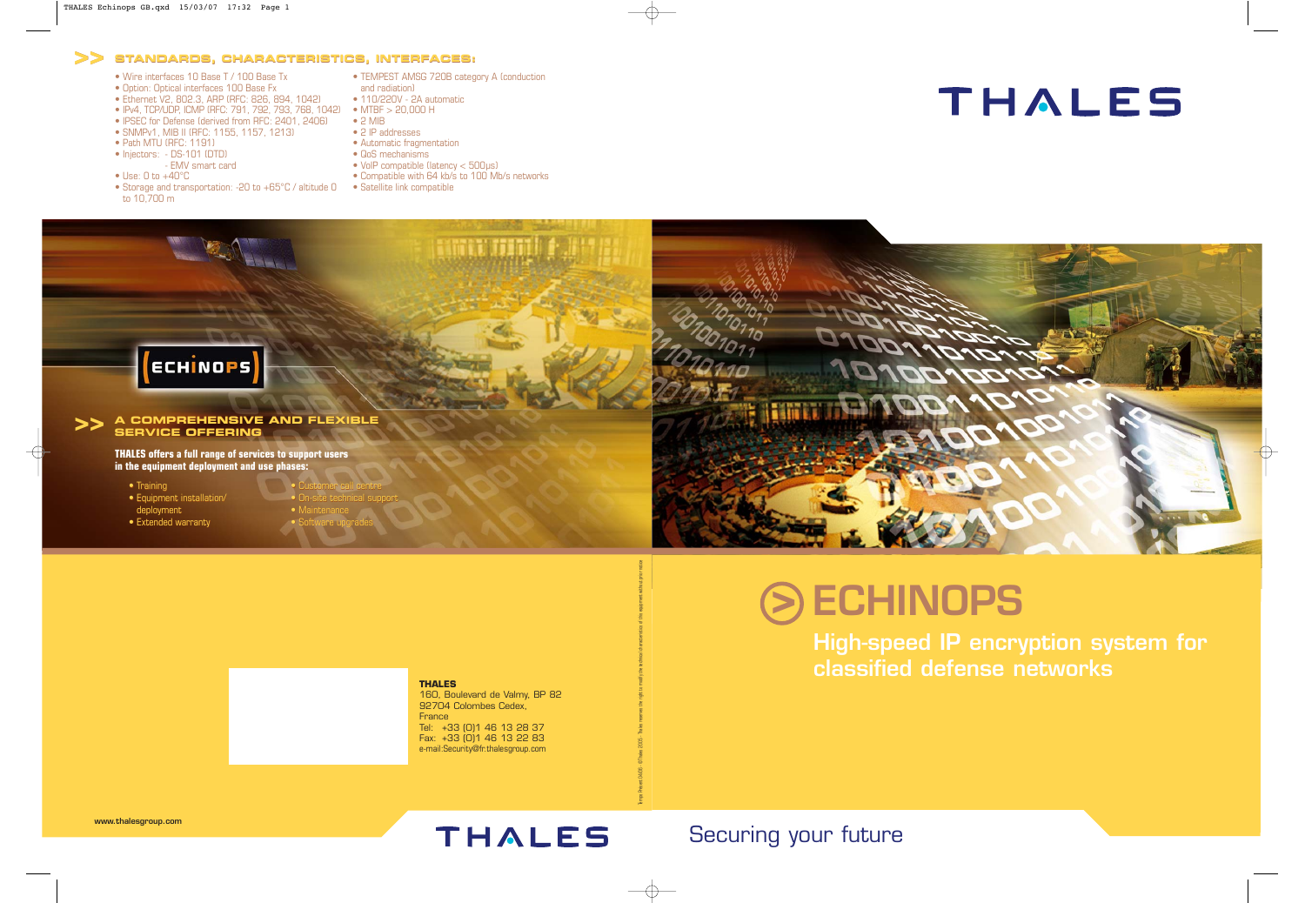**www.thalesgroup.com**

# THALES



**High-speed IP encryption system for classified defense networks**

## Securing your future

## **ECHINOPS >**

**THALES** 160, Boulevard de Valmy, BP 82 92704 Colombes Cedex, France Tel: +33 (0)1 46 13 28 37 Fax: +33 (0)1 46 13 22 83 e-mail:Security@fr.thalesgroup.com

Temps Présent 04/06 - ©Thales 2005 - Thales reserves the right to modify the technical characteristics of this equipment without prior notice

**THALES offers a full range of services to support users in the equipment deployment and use phases:**

#### **A COMPREHENSIVE AND FLEXIBLE SERVICE OFFERING >> A COMPREHENSIVE AND FLEXIBLE SERVICE OFFERING**

- Training
- Equipment installation/ warrantyCustomer call centretechnical supportupgrades
- deployment
- Extended warranty



• Customer call centre • On-site technical support

• Maintenance • Software upgrades



## **>> >> STANDARDS, CHARACTERISTICS, INTERFACES:**

- Wire interfaces 10 Base T / 100 Base Tx
- Option: Optical interfaces 100 Base Fx
- Ethernet V2, 802.3, ARP (RFC: 826, 894, 1042)
- IPv4, TCP/UDP, ICMP (RFC: 791, 792, 793, 768, 1042) MTBF > 20,000 H
- IPSEC for Defense (derived from RFC: 2401, 2406)
- SNMPv1, MIB II (RFC: 1155, 1157, 1213)
- Path MTU (RFC: 1191)
- Injectors: DS-101 (DTD) - EMV smart card
- $\bullet$  Use: 0 to  $+40^{\circ}$ C
- Storage and transportation: -20 to +65°C / altitude 0 to 10,700 m
- TEMPEST AMSG 720B category A (conduction
- and radiation)
- 110/220V 2A automatic
- 2 MIB
- 2 IP addresses
- Automatic fragmentation
- QoS mechanisms
- VoIP compatible (latency < 500µs)
- Compatible with 64 kb/s to 100 Mb/s networks
- Satellite link compatible